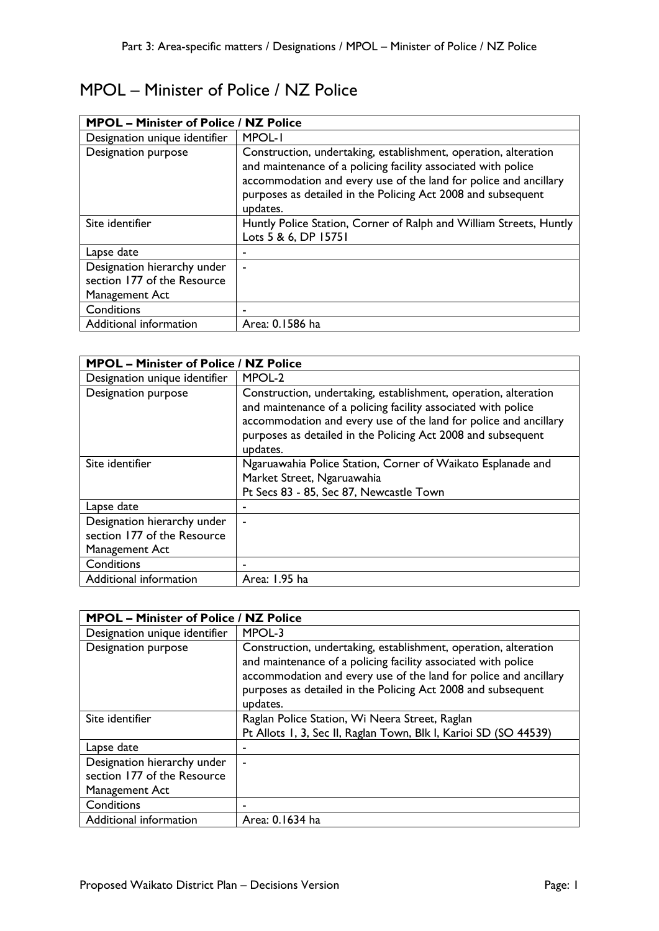## MPOL – Minister of Police / NZ Police

| <b>MPOL - Minister of Police / NZ Police</b>                                 |                                                                                                                                                                                                                                                                                  |
|------------------------------------------------------------------------------|----------------------------------------------------------------------------------------------------------------------------------------------------------------------------------------------------------------------------------------------------------------------------------|
| Designation unique identifier                                                | MPOL-I                                                                                                                                                                                                                                                                           |
| <b>Designation purpose</b>                                                   | Construction, undertaking, establishment, operation, alteration<br>and maintenance of a policing facility associated with police<br>accommodation and every use of the land for police and ancillary<br>purposes as detailed in the Policing Act 2008 and subsequent<br>updates. |
| Site identifier                                                              | Huntly Police Station, Corner of Ralph and William Streets, Huntly<br>Lots 5 & 6, DP 15751                                                                                                                                                                                       |
| Lapse date                                                                   | ۰                                                                                                                                                                                                                                                                                |
| Designation hierarchy under<br>section 177 of the Resource<br>Management Act | ٠                                                                                                                                                                                                                                                                                |
| Conditions                                                                   |                                                                                                                                                                                                                                                                                  |
| Additional information                                                       | Area: 0.1586 ha                                                                                                                                                                                                                                                                  |

| <b>MPOL - Minister of Police / NZ Police</b>                                 |                                                                                                                                                                                                                                                                                  |  |
|------------------------------------------------------------------------------|----------------------------------------------------------------------------------------------------------------------------------------------------------------------------------------------------------------------------------------------------------------------------------|--|
| Designation unique identifier                                                | MPOL-2                                                                                                                                                                                                                                                                           |  |
| Designation purpose                                                          | Construction, undertaking, establishment, operation, alteration<br>and maintenance of a policing facility associated with police<br>accommodation and every use of the land for police and ancillary<br>purposes as detailed in the Policing Act 2008 and subsequent<br>updates. |  |
| Site identifier                                                              | Ngaruawahia Police Station, Corner of Waikato Esplanade and<br>Market Street, Ngaruawahia<br>Pt Secs 83 - 85, Sec 87, Newcastle Town                                                                                                                                             |  |
| Lapse date                                                                   | $\blacksquare$                                                                                                                                                                                                                                                                   |  |
| Designation hierarchy under<br>section 177 of the Resource<br>Management Act | $\blacksquare$                                                                                                                                                                                                                                                                   |  |
| Conditions                                                                   |                                                                                                                                                                                                                                                                                  |  |
| Additional information                                                       | Area: 1.95 ha                                                                                                                                                                                                                                                                    |  |

| <b>MPOL - Minister of Police / NZ Police</b> |                                                                                                                                                                                                                                                                                  |  |
|----------------------------------------------|----------------------------------------------------------------------------------------------------------------------------------------------------------------------------------------------------------------------------------------------------------------------------------|--|
| Designation unique identifier                | MPOL-3                                                                                                                                                                                                                                                                           |  |
| Designation purpose                          | Construction, undertaking, establishment, operation, alteration<br>and maintenance of a policing facility associated with police<br>accommodation and every use of the land for police and ancillary<br>purposes as detailed in the Policing Act 2008 and subsequent<br>updates. |  |
| Site identifier                              | Raglan Police Station, Wi Neera Street, Raglan                                                                                                                                                                                                                                   |  |
|                                              | Pt Allots 1, 3, Sec II, Raglan Town, Blk I, Karioi SD (SO 44539)                                                                                                                                                                                                                 |  |
| Lapse date                                   |                                                                                                                                                                                                                                                                                  |  |
| Designation hierarchy under                  | $\tilde{\phantom{a}}$                                                                                                                                                                                                                                                            |  |
| section 177 of the Resource                  |                                                                                                                                                                                                                                                                                  |  |
| Management Act                               |                                                                                                                                                                                                                                                                                  |  |
| Conditions                                   |                                                                                                                                                                                                                                                                                  |  |
| Additional information                       | Area: 0.1634 ha                                                                                                                                                                                                                                                                  |  |